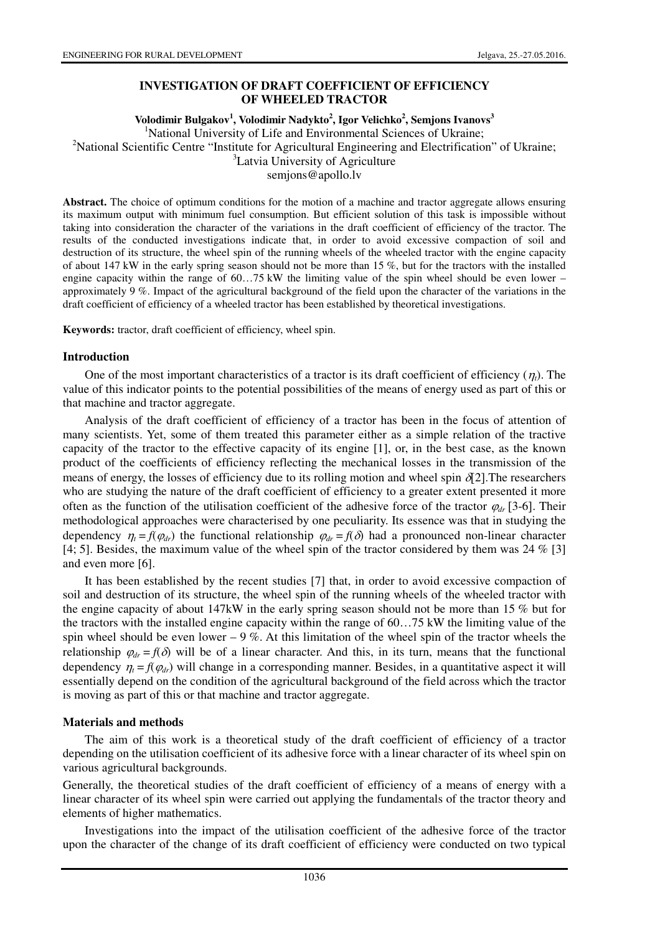# **INVESTIGATION OF DRAFT COEFFICIENT OF EFFICIENCY OF WHEELED TRACTOR**

**Volodimir Bulgakov<sup>1</sup> , Volodimir Nadykto<sup>2</sup> , Igor Velichko<sup>2</sup> , Semjons Ivanovs<sup>3</sup>**

<sup>1</sup>National University of Life and Environmental Sciences of Ukraine;

<sup>2</sup>National Scientific Centre "Institute for Agricultural Engineering and Electrification" of Ukraine;

<sup>3</sup>Latvia University of Agriculture

semjons@apollo.lv

**Abstract.** The choice of optimum conditions for the motion of a machine and tractor aggregate allows ensuring its maximum output with minimum fuel consumption. But efficient solution of this task is impossible without taking into consideration the character of the variations in the draft coefficient of efficiency of the tractor. The results of the conducted investigations indicate that, in order to avoid excessive compaction of soil and destruction of its structure, the wheel spin of the running wheels of the wheeled tractor with the engine capacity of about 147 kW in the early spring season should not be more than 15 %, but for the tractors with the installed engine capacity within the range of 60...75 kW the limiting value of the spin wheel should be even lower – approximately 9 %. Impact of the agricultural background of the field upon the character of the variations in the draft coefficient of efficiency of a wheeled tractor has been established by theoretical investigations.

**Keywords:** tractor, draft coefficient of efficiency, wheel spin.

### **Introduction**

One of the most important characteristics of a tractor is its draft coefficient of efficiency  $(\eta_t)$ . The value of this indicator points to the potential possibilities of the means of energy used as part of this or that machine and tractor aggregate.

Analysis of the draft coefficient of efficiency of a tractor has been in the focus of attention of many scientists. Yet, some of them treated this parameter either as a simple relation of the tractive capacity of the tractor to the effective capacity of its engine [1], or, in the best case, as the known product of the coefficients of efficiency reflecting the mechanical losses in the transmission of the means of energy, the losses of efficiency due to its rolling motion and wheel spin  $\delta$ [2]. The researchers who are studying the nature of the draft coefficient of efficiency to a greater extent presented it more often as the function of the utilisation coefficient of the adhesive force of the tractor <sup>ϕ</sup>*dr* [3-6]. Their methodological approaches were characterised by one peculiarity. Its essence was that in studying the dependency  $\eta_t = f(\varphi_{dr})$  the functional relationship  $\varphi_{dr} = f(\delta)$  had a pronounced non-linear character [4; 5]. Besides, the maximum value of the wheel spin of the tractor considered by them was 24 % [3] and even more [6].

It has been established by the recent studies [7] that, in order to avoid excessive compaction of soil and destruction of its structure, the wheel spin of the running wheels of the wheeled tractor with the engine capacity of about 147kW in the early spring season should not be more than 15 % but for the tractors with the installed engine capacity within the range of 60…75 kW the limiting value of the spin wheel should be even lower – 9 %. At this limitation of the wheel spin of the tractor wheels the relationship  $\varphi_{dr} = f(\delta)$  will be of a linear character. And this, in its turn, means that the functional dependency  $\eta_t = f(\varphi_{dr})$  will change in a corresponding manner. Besides, in a quantitative aspect it will essentially depend on the condition of the agricultural background of the field across which the tractor is moving as part of this or that machine and tractor aggregate.

## **Materials and methods**

The aim of this work is a theoretical study of the draft coefficient of efficiency of a tractor depending on the utilisation coefficient of its adhesive force with a linear character of its wheel spin on various agricultural backgrounds.

Generally, the theoretical studies of the draft coefficient of efficiency of a means of energy with a linear character of its wheel spin were carried out applying the fundamentals of the tractor theory and elements of higher mathematics.

Investigations into the impact of the utilisation coefficient of the adhesive force of the tractor upon the character of the change of its draft coefficient of efficiency were conducted on two typical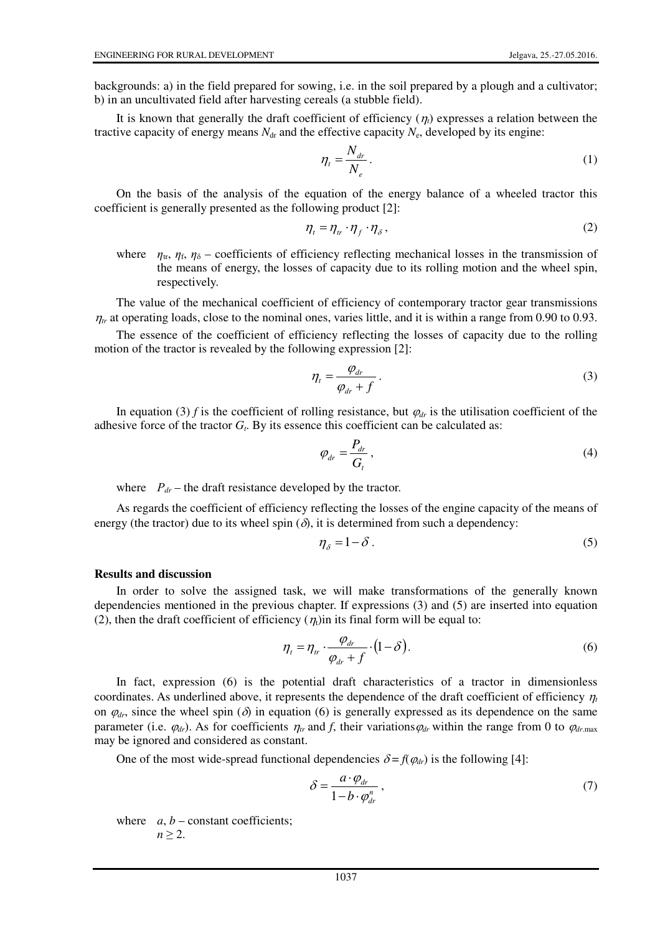backgrounds: a) in the field prepared for sowing, i.e. in the soil prepared by a plough and a cultivator; b) in an uncultivated field after harvesting cereals (a stubble field).

It is known that generally the draft coefficient of efficiency  $(\eta_t)$  expresses a relation between the tractive capacity of energy means  $N_{dr}$  and the effective capacity  $N_{e}$ , developed by its engine:

$$
\eta_t = \frac{N_{dr}}{N_e} \,. \tag{1}
$$

On the basis of the analysis of the equation of the energy balance of a wheeled tractor this coefficient is generally presented as the following product [2]:

$$
\eta_t = \eta_{tr} \cdot \eta_f \cdot \eta_{\delta},\tag{2}
$$

where  $\eta_{tr}$ ,  $\eta_{\delta}$ ,  $\eta_{\delta}$  – coefficients of efficiency reflecting mechanical losses in the transmission of the means of energy, the losses of capacity due to its rolling motion and the wheel spin, respectively.

The value of the mechanical coefficient of efficiency of contemporary tractor gear transmissions  $\eta_{tr}$  at operating loads, close to the nominal ones, varies little, and it is within a range from 0.90 to 0.93.

The essence of the coefficient of efficiency reflecting the losses of capacity due to the rolling motion of the tractor is revealed by the following expression [2]:

$$
\eta_t = \frac{\varphi_{dr}}{\varphi_{dr} + f} \,. \tag{3}
$$

In equation (3) *f* is the coefficient of rolling resistance, but  $\varphi_{dr}$  is the utilisation coefficient of the adhesive force of the tractor  $G_t$ . By its essence this coefficient can be calculated as:

$$
\varphi_{dr} = \frac{P_{dr}}{G_t},\tag{4}
$$

where  $P_{dr}$  – the draft resistance developed by the tractor.

As regards the coefficient of efficiency reflecting the losses of the engine capacity of the means of energy (the tractor) due to its wheel spin  $(\delta)$ , it is determined from such a dependency:

$$
\eta_{\delta} = 1 - \delta \tag{5}
$$

#### **Results and discussion**

In order to solve the assigned task, we will make transformations of the generally known dependencies mentioned in the previous chapter. If expressions (3) and (5) are inserted into equation (2), then the draft coefficient of efficiency  $(\eta_t)$  in its final form will be equal to:

$$
\eta_t = \eta_{tr} \cdot \frac{\varphi_{dr}}{\varphi_{dr} + f} \cdot (1 - \delta). \tag{6}
$$

In fact, expression (6) is the potential draft characteristics of a tractor in dimensionless coordinates. As underlined above, it represents the dependence of the draft coefficient of efficiency  $\eta_t$ on  $\varphi_{dr}$ , since the wheel spin ( $\delta$ ) in equation (6) is generally expressed as its dependence on the same parameter (i.e.  $\varphi_{dr}$ ). As for coefficients  $\eta_{tr}$  and *f*, their variations  $\varphi_{dr}$  within the range from 0 to  $\varphi_{dr,\text{max}}$ may be ignored and considered as constant.

One of the most wide-spread functional dependencies  $\delta = f(\varphi_{dr})$  is the following [4]:

$$
\delta = \frac{a \cdot \varphi_{dr}}{1 - b \cdot \varphi_{dr}^{n}}\,,\tag{7}
$$

where  $a, b$  – constant coefficients;  $n > 2$ .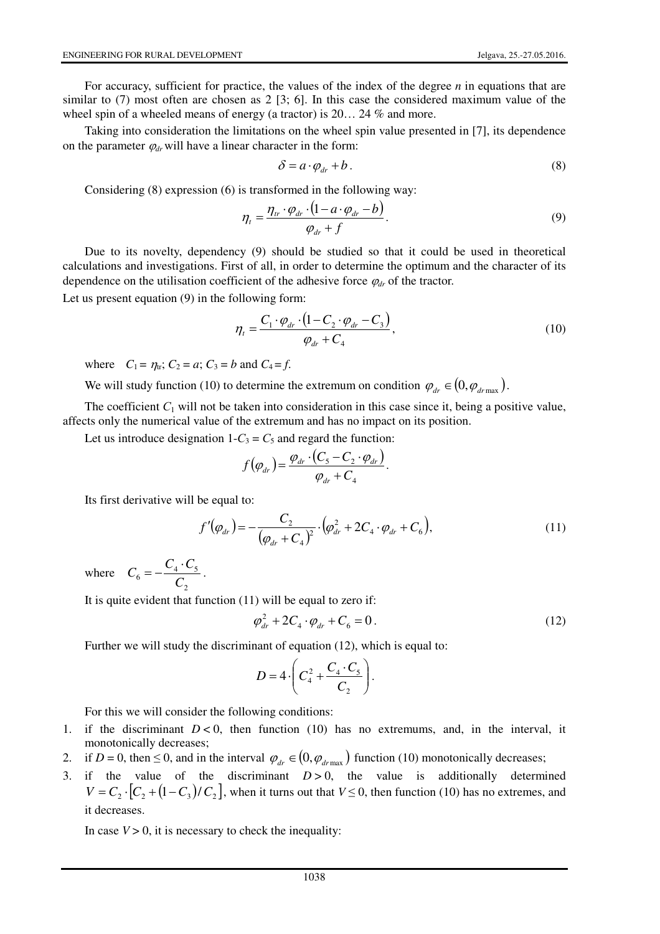For accuracy, sufficient for practice, the values of the index of the degree *n* in equations that are similar to (7) most often are chosen as 2 [3; 6]. In this case the considered maximum value of the wheel spin of a wheeled means of energy (a tractor) is 20... 24 % and more.

Taking into consideration the limitations on the wheel spin value presented in [7], its dependence on the parameter  $\varphi_{dr}$  will have a linear character in the form:

$$
\delta = a \cdot \varphi_{dr} + b \,. \tag{8}
$$

Considering (8) expression (6) is transformed in the following way:

$$
\eta_t = \frac{\eta_{tr} \cdot \varphi_{dr} \cdot (1 - a \cdot \varphi_{dr} - b)}{\varphi_{dr} + f}.
$$
\n(9)

Due to its novelty, dependency (9) should be studied so that it could be used in theoretical calculations and investigations. First of all, in order to determine the optimum and the character of its dependence on the utilisation coefficient of the adhesive force <sup>ϕ</sup>*dr* of the tractor.

Let us present equation (9) in the following form:

$$
\eta_t = \frac{C_1 \cdot \varphi_{dr} \cdot (1 - C_2 \cdot \varphi_{dr} - C_3)}{\varphi_{dr} + C_4},\tag{10}
$$

where  $C_1 = \eta_x$ ;  $C_2 = a$ ;  $C_3 = b$  and  $C_4 = f$ .

We will study function (10) to determine the extremum on condition  $\varphi_{dr} \in (0, \varphi_{dr\text{max}})$ .

The coefficient  $C_1$  will not be taken into consideration in this case since it, being a positive value, affects only the numerical value of the extremum and has no impact on its position.

Let us introduce designation  $1-C_3 = C_5$  and regard the function:

$$
f(\varphi_{dr}) = \frac{\varphi_{dr} \cdot (C_5 - C_2 \cdot \varphi_{dr})}{\varphi_{dr} + C_4}.
$$

Its first derivative will be equal to:

$$
f'(\varphi_{dr}) = -\frac{C_2}{(\varphi_{dr} + C_4)^2} \cdot (\varphi_{dr}^2 + 2C_4 \cdot \varphi_{dr} + C_6),
$$
\n(11)

where 2  $\frac{C_4 \cdot C_5}{C_2}$  $C_6 = -\frac{C_4 \cdot C_6}{2}$  $=-\frac{C_4\cdot C_5}{\sigma}.$ 

It is quite evident that function (11) will be equal to zero if:

$$
\varphi_{dr}^2 + 2C_4 \cdot \varphi_{dr} + C_6 = 0.
$$
 (12)

Further we will study the discriminant of equation (12), which is equal to:

$$
D=4\cdot\left(C_4^2+\frac{C_4\cdot C_5}{C_2}\right).
$$

For this we will consider the following conditions:

- 1. if the discriminant  $D < 0$ , then function (10) has no extremums, and, in the interval, it monotonically decreases;
- 2. if *D* = 0, then  $\leq$  0, and in the interval  $\varphi_{dr} \in (0, \varphi_{dr \max})$  function (10) monotonically decreases;
- 3. if the value of the discriminant  $D > 0$ , the value is additionally determined  $V = C_2 \cdot [C_2 + (1 - C_3)/C_2]$ , when it turns out that  $V \le 0$ , then function (10) has no extremes, and it decreases.

In case  $V > 0$ , it is necessary to check the inequality: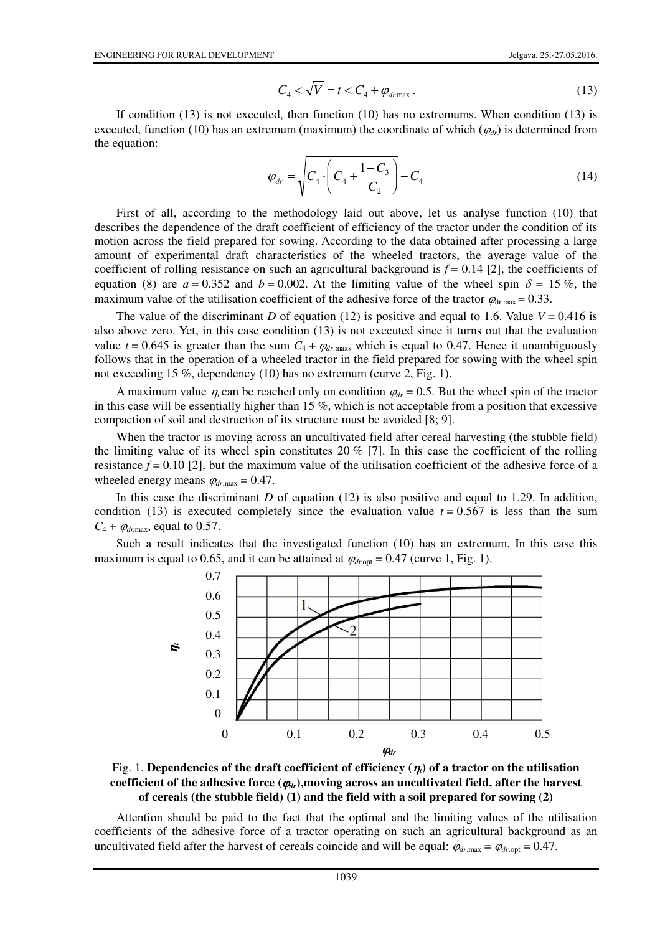$$
C_4 < \sqrt{V} = t < C_4 + \varphi_{dr\text{max}}.
$$
\n(13)

If condition (13) is not executed, then function (10) has no extremums. When condition (13) is executed, function (10) has an extremum (maximum) the coordinate of which  $(\varphi_{dr})$  is determined from the equation:

$$
\varphi_{dr} = \sqrt{C_4 \cdot \left(C_4 + \frac{1 - C_3}{C_2}\right)} - C_4
$$
\n(14)

First of all, according to the methodology laid out above, let us analyse function (10) that describes the dependence of the draft coefficient of efficiency of the tractor under the condition of its motion across the field prepared for sowing. According to the data obtained after processing a large amount of experimental draft characteristics of the wheeled tractors, the average value of the coefficient of rolling resistance on such an agricultural background is  $f = 0.14$  [2], the coefficients of equation (8) are  $a = 0.352$  and  $b = 0.002$ . At the limiting value of the wheel spin  $\delta = 15\%$ , the maximum value of the utilisation coefficient of the adhesive force of the tractor  $\varphi_{dr,max} = 0.33$ .

The value of the discriminant *D* of equation (12) is positive and equal to 1.6. Value  $V = 0.416$  is also above zero. Yet, in this case condition (13) is not executed since it turns out that the evaluation value  $t = 0.645$  is greater than the sum  $C_4 + \varphi_{dr,\text{max}}$ , which is equal to 0.47. Hence it unambiguously follows that in the operation of a wheeled tractor in the field prepared for sowing with the wheel spin not exceeding 15 %, dependency (10) has no extremum (curve 2, Fig. 1).

A maximum value  $\eta_t$  can be reached only on condition  $\varphi_{dr} = 0.5$ . But the wheel spin of the tractor in this case will be essentially higher than 15 %, which is not acceptable from a position that excessive compaction of soil and destruction of its structure must be avoided [8; 9].

When the tractor is moving across an uncultivated field after cereal harvesting (the stubble field) the limiting value of its wheel spin constitutes 20 % [7]. In this case the coefficient of the rolling resistance  $f = 0.10$  [2], but the maximum value of the utilisation coefficient of the adhesive force of a wheeled energy means  $\varphi_{dr,\text{max}} = 0.47$ .

In this case the discriminant *D* of equation (12) is also positive and equal to 1.29. In addition, condition (13) is executed completely since the evaluation value  $t = 0.567$  is less than the sum  $C_4 + \varphi_{dr \text{ max}}$ , equal to 0.57.

Such a result indicates that the investigated function (10) has an extremum. In this case this maximum is equal to 0.65, and it can be attained at  $\varphi_{\text{droot}} = 0.47$  (curve 1, Fig. 1).





Attention should be paid to the fact that the optimal and the limiting values of the utilisation coefficients of the adhesive force of a tractor operating on such an agricultural background as an uncultivated field after the harvest of cereals coincide and will be equal:  $\varphi_{dr \text{ max}} = \varphi_{dr \text{ out}} = 0.47$ .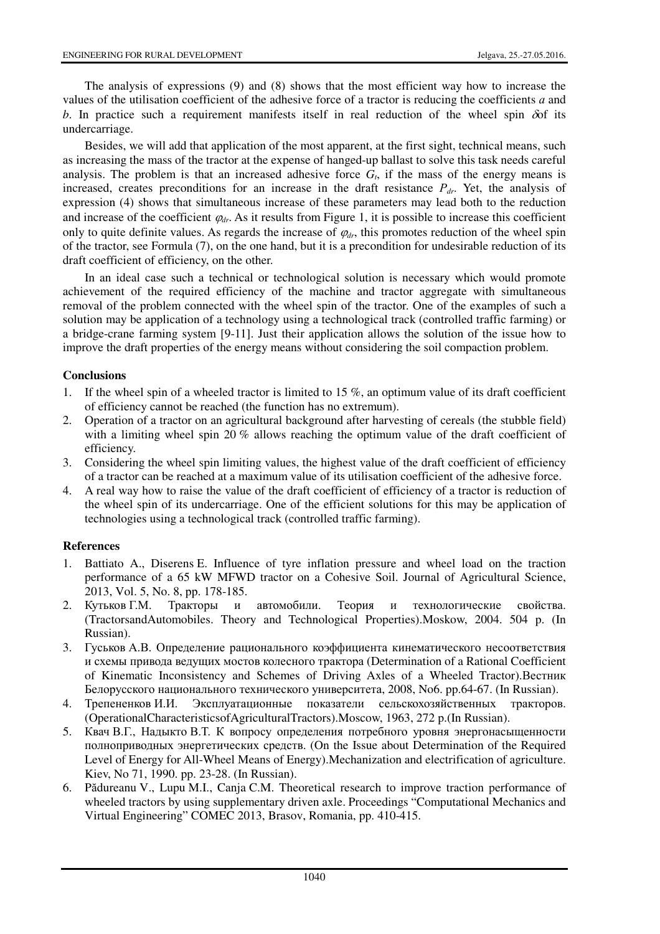The analysis of expressions (9) and (8) shows that the most efficient way how to increase the values of the utilisation coefficient of the adhesive force of a tractor is reducing the coefficients *а* and *b*. In practice such a requirement manifests itself in real reduction of the wheel spin  $\delta$  its undercarriage.

Besides, we will add that application of the most apparent, at the first sight, technical means, such as increasing the mass of the tractor at the expense of hanged-up ballast to solve this task needs careful analysis. The problem is that an increased adhesive force  $G_t$ , if the mass of the energy means is increased, creates preconditions for an increase in the draft resistance *Рdr*. Yet, the analysis of expression (4) shows that simultaneous increase of these parameters may lead both to the reduction and increase of the coefficient  $\varphi_{dr}$ . As it results from Figure 1, it is possible to increase this coefficient only to quite definite values. As regards the increase of  $\varphi_{dr}$ , this promotes reduction of the wheel spin of the tractor, see Formula (7), on the one hand, but it is a precondition for undesirable reduction of its draft coefficient of efficiency, on the other.

In an ideal case such a technical or technological solution is necessary which would promote achievement of the required efficiency of the machine and tractor aggregate with simultaneous removal of the problem connected with the wheel spin of the tractor. One of the examples of such a solution may be application of a technology using a technological track (controlled traffic farming) or a bridge-crane farming system [9-11]. Just their application allows the solution of the issue how to improve the draft properties of the energy means without considering the soil compaction problem.

# **Conclusions**

- 1. If the wheel spin of a wheeled tractor is limited to 15 %, an optimum value of its draft coefficient of efficiency cannot be reached (the function has no extremum).
- 2. Operation of a tractor on an agricultural background after harvesting of cereals (the stubble field) with a limiting wheel spin 20 % allows reaching the optimum value of the draft coefficient of efficiency.
- 3. Considering the wheel spin limiting values, the highest value of the draft coefficient of efficiency of a tractor can be reached at a maximum value of its utilisation coefficient of the adhesive force.
- 4. A real way how to raise the value of the draft coefficient of efficiency of a tractor is reduction of the wheel spin of its undercarriage. One of the efficient solutions for this may be application of technologies using a technological track (controlled traffic farming).

## **References**

- 1. Battiato A., Diserens E. Influence of tyre inflation pressure and wheel load on the traction performance of a 65 kW MFWD tractor on a Cohesive Soil. Journal of Agricultural Science, 2013, Vol. 5, No. 8, рр. 178-185.
- 2. Кутьков Г.М. Тракторы и автомобили. Теория и технологические свойства. (TractorsandAutomobiles. Theory and Technological Properties).Moskow, 2004. 504 p. (In Russian).
- 3. Гуськов А.В. Определение рационального коэффициента кинематического несоответствия и схемы привода ведущих мостов колесного трактора (Determination of a Rational Coefficient of Kinematic Inconsistency and Schemes of Driving Axles of a Wheeled Tractor).Вестник Белорусского национального технического университета, 2008, No6. pp.64-67. (In Russian).
- 4. Трепененков И.И. Эксплуатационные показатели сельскохозяйственных тракторов. (OperationalCharacteristicsofAgriculturalTractors).Moscow, 1963, 272 p.(In Russian).
- 5. Квач В.Г., Надыкто В.Т. К вопросу определения потребного уровня энергонасыщенности полноприводных энергетических средств. (On the Issue about Determination of the Required Level of Energy for All-Wheel Means of Energy).Mechanization and electrification of agriculture. Kiev, No 71, 1990. pp. 23-28. (In Russian).
- 6. Pădureanu V., Lupu M.I., Canja C.M. Theoretical research to improve traction performance of wheeled tractors by using supplementary driven axle. Proceedings "Computational Mechanics and Virtual Engineering" COMEC 2013, Brasov, Romania, pp. 410-415.